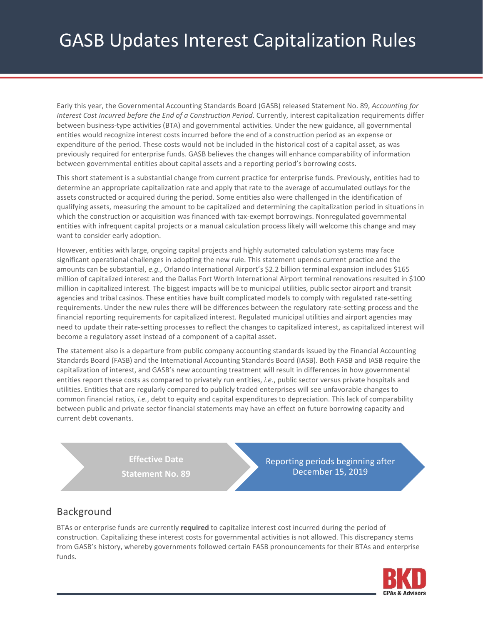# GASB Updates Interest Capitalization Rules

Early this year, the Governmental Accounting Standards Board (GASB) released Statement No. 89, *Accounting for Interest Cost Incurred before the End of a Construction Period*. Currently, interest capitalization requirements differ between business-type activities (BTA) and governmental activities. Under the new guidance, all governmental entities would recognize interest costs incurred before the end of a construction period as an expense or expenditure of the period. These costs would not be included in the historical cost of a capital asset, as was previously required for enterprise funds. GASB believes the changes will enhance comparability of information between governmental entities about capital assets and a reporting period's borrowing costs.

This short statement is a substantial change from current practice for enterprise funds. Previously, entities had to determine an appropriate capitalization rate and apply that rate to the average of accumulated outlays for the assets constructed or acquired during the period. Some entities also were challenged in the identification of qualifying assets, measuring the amount to be capitalized and determining the capitalization period in situations in which the construction or acquisition was financed with tax-exempt borrowings. Nonregulated governmental entities with infrequent capital projects or a manual calculation process likely will welcome this change and may want to consider early adoption.

However, entities with large, ongoing capital projects and highly automated calculation systems may face significant operational challenges in adopting the new rule. This statement upends current practice and the amounts can be substantial, *e.g.*, Orlando International Airport's \$2.2 billion terminal expansion includes \$165 million of capitalized interest and the Dallas Fort Worth International Airport terminal renovations resulted in \$100 million in capitalized interest. The biggest impacts will be to municipal utilities, public sector airport and transit agencies and tribal casinos. These entities have built complicated models to comply with regulated rate-setting requirements. Under the new rules there will be differences between the regulatory rate-setting process and the financial reporting requirements for capitalized interest. Regulated municipal utilities and airport agencies may need to update their rate-setting processes to reflect the changes to capitalized interest, as capitalized interest will become a regulatory asset instead of a component of a capital asset.

The statement also is a departure from public company accounting standards issued by the Financial Accounting Standards Board (FASB) and the International Accounting Standards Board (IASB). Both FASB and IASB require the capitalization of interest, and GASB's new accounting treatment will result in differences in how governmental entities report these costs as compared to privately run entities, *i.e.*, public sector versus private hospitals and utilities. Entities that are regularly compared to publicly traded enterprises will see unfavorable changes to common financial ratios, *i.e.*, debt to equity and capital expenditures to depreciation. This lack of comparability between public and private sector financial statements may have an effect on future borrowing capacity and current debt covenants.

> **Effective Date Statement No. 89**

Reporting periods beginning after December 15, 2019

# Background

BTAs or enterprise funds are currently **required** to capitalize interest cost incurred during the period of construction. Capitalizing these interest costs for governmental activities is not allowed. This discrepancy stems from GASB's history, whereby governments followed certain FASB pronouncements for their BTAs and enterprise funds.

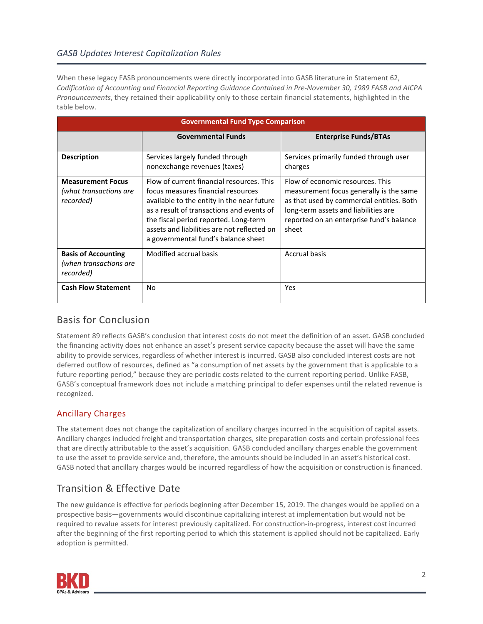#### *GASB Updates Interest Capitalization Rules*

When these legacy FASB pronouncements were directly incorporated into GASB literature in Statement 62, *Codification of Accounting and Financial Reporting Guidance Contained in Pre-November 30, 1989 FASB and AICPA Pronouncements*, they retained their applicability only to those certain financial statements, highlighted in the table below.

| <b>Governmental Fund Type Comparison</b>                          |                                                                                                                                                                                                                                                                                                           |                                                                                                                                                                                                                       |
|-------------------------------------------------------------------|-----------------------------------------------------------------------------------------------------------------------------------------------------------------------------------------------------------------------------------------------------------------------------------------------------------|-----------------------------------------------------------------------------------------------------------------------------------------------------------------------------------------------------------------------|
|                                                                   | <b>Governmental Funds</b>                                                                                                                                                                                                                                                                                 | <b>Enterprise Funds/BTAs</b>                                                                                                                                                                                          |
| <b>Description</b>                                                | Services largely funded through<br>nonexchange revenues (taxes)                                                                                                                                                                                                                                           | Services primarily funded through user<br>charges                                                                                                                                                                     |
| <b>Measurement Focus</b><br>(what transactions are<br>recorded)   | Flow of current financial resources. This<br>focus measures financial resources<br>available to the entity in the near future<br>as a result of transactions and events of<br>the fiscal period reported. Long-term<br>assets and liabilities are not reflected on<br>a governmental fund's balance sheet | Flow of economic resources. This<br>measurement focus generally is the same<br>as that used by commercial entities. Both<br>long-term assets and liabilities are<br>reported on an enterprise fund's balance<br>sheet |
| <b>Basis of Accounting</b><br>(when transactions are<br>recorded) | Modified accrual basis                                                                                                                                                                                                                                                                                    | <b>Accrual basis</b>                                                                                                                                                                                                  |
| <b>Cash Flow Statement</b>                                        | No                                                                                                                                                                                                                                                                                                        | Yes                                                                                                                                                                                                                   |

# Basis for Conclusion

Statement 89 reflects GASB's conclusion that interest costs do not meet the definition of an asset. GASB concluded the financing activity does not enhance an asset's present service capacity because the asset will have the same ability to provide services, regardless of whether interest is incurred. GASB also concluded interest costs are not deferred outflow of resources, defined as "a consumption of net assets by the government that is applicable to a future reporting period," because they are periodic costs related to the current reporting period. Unlike FASB, GASB's conceptual framework does not include a matching principal to defer expenses until the related revenue is recognized.

#### Ancillary Charges

The statement does not change the capitalization of ancillary charges incurred in the acquisition of capital assets. Ancillary charges included freight and transportation charges, site preparation costs and certain professional fees that are directly attributable to the asset's acquisition. GASB concluded ancillary charges enable the government to use the asset to provide service and, therefore, the amounts should be included in an asset's historical cost. GASB noted that ancillary charges would be incurred regardless of how the acquisition or construction is financed.

# Transition & Effective Date

The new guidance is effective for periods beginning after December 15, 2019. The changes would be applied on a prospective basis—governments would discontinue capitalizing interest at implementation but would not be required to revalue assets for interest previously capitalized. For construction-in-progress, interest cost incurred after the beginning of the first reporting period to which this statement is applied should not be capitalized. Early adoption is permitted.